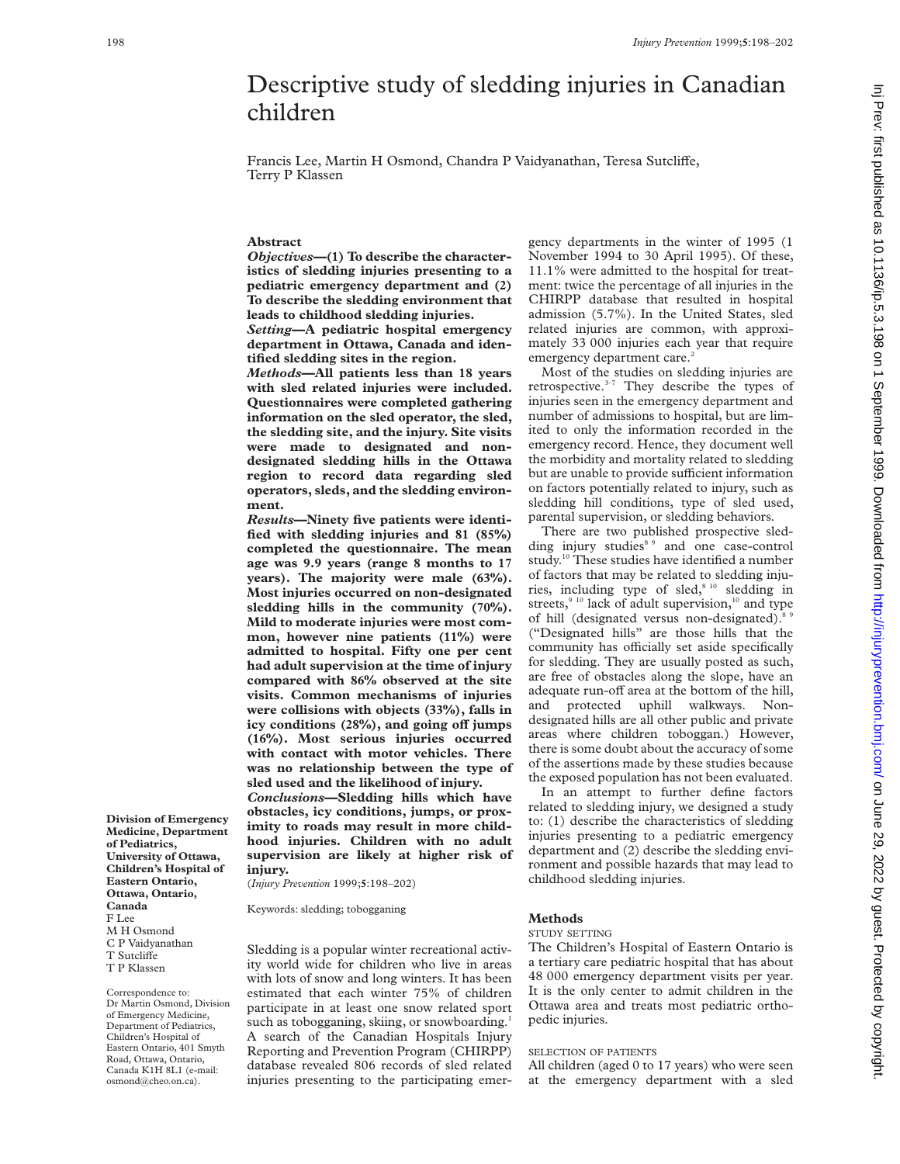# Descriptive study of sledding injuries in Canadian children

Francis Lee, Martin H Osmond, Chandra P Vaidyanathan, Teresa Sutcliffe, Terry P Klassen

## **Abstract**

*Objectives—***(1) To describe the characteristics of sledding injuries presenting to a pediatric emergency department and (2) To describe the sledding environment that leads to childhood sledding injuries.**

*Setting***—A pediatric hospital emergency department in Ottawa, Canada and identified sledding sites in the region.**

*Methods***—All patients less than 18 years with sled related injuries were included. Questionnaires were completed gathering information on the sled operator, the sled, the sledding site, and the injury. Site visits were made to designated and nondesignated sledding hills in the Ottawa region to record data regarding sled operators, sleds, and the sledding environment.**

*Results***—Ninety five patients were identified with sledding injuries and 81 (85%) completed the questionnaire. The mean age was 9.9 years (range 8 months to 17 years). The majority were male (63%). Most injuries occurred on non-designated sledding hills in the community (70%). Mild to moderate injuries were most common, however nine patients (11%) were admitted to hospital. Fifty one per cent had adult supervision at the time of injury compared with 86% observed at the site visits. Common mechanisms of injuries were collisions with objects (33%), falls in** icy conditions (28%), and going off jumps **(16%). Most serious injuries occurred with contact with motor vehicles. There was no relationship between the type of sled used and the likelihood of injury.**

*Conclusions***—Sledding hills which have obstacles, icy conditions, jumps, or proximity to roads may result in more childhood injuries. Children with no adult supervision are likely at higher risk of injury.**

(*Injury Prevention* 1999;**5**:198–202)

Keywords: sledding; tobogganing

Sledding is a popular winter recreational activity world wide for children who live in areas with lots of snow and long winters. It has been estimated that each winter 75% of children participate in at least one snow related sport such as tobogganing, skiing, or snowboarding.<sup>1</sup> A search of the Canadian Hospitals Injury Reporting and Prevention Program (CHIRPP) database revealed 806 records of sled related injuries presenting to the participating emergency departments in the winter of 1995 (1 November 1994 to 30 April 1995). Of these, 11.1% were admitted to the hospital for treatment: twice the percentage of all injuries in the CHIRPP database that resulted in hospital admission (5.7%). In the United States, sled related injuries are common, with approximately 33 000 injuries each year that require emergency department care.<sup>2</sup>

Most of the studies on sledding injuries are retrospective.3–7 They describe the types of injuries seen in the emergency department and number of admissions to hospital, but are limited to only the information recorded in the emergency record. Hence, they document well the morbidity and mortality related to sledding but are unable to provide sufficient information on factors potentially related to injury, such as sledding hill conditions, type of sled used, parental supervision, or sledding behaviors.

There are two published prospective sledding injury studies<sup>89</sup> and one case-control study.<sup>10</sup> These studies have identified a number of factors that may be related to sledding injuries, including type of sled,<sup>8 10</sup> sledding in streets, $910$  lack of adult supervision, $10$  and type of hill (designated versus non-designated).<sup>8</sup> ("Designated hills" are those hills that the community has officially set aside specifically for sledding. They are usually posted as such, are free of obstacles along the slope, have an adequate run-off area at the bottom of the hill, and protected uphill walkways. Nondesignated hills are all other public and private areas where children toboggan.) However, there is some doubt about the accuracy of some of the assertions made by these studies because the exposed population has not been evaluated.

In an attempt to further define factors related to sledding injury, we designed a study to: (1) describe the characteristics of sledding injuries presenting to a pediatric emergency department and (2) describe the sledding environment and possible hazards that may lead to childhood sledding injuries.

## **Methods**

#### STUDY SETTING

The Children's Hospital of Eastern Ontario is a tertiary care pediatric hospital that has about 48 000 emergency department visits per year. It is the only center to admit children in the Ottawa area and treats most pediatric orthopedic injuries.

# SELECTION OF PATIENTS

All children (aged 0 to 17 years) who were seen at the emergency department with a sled Inj Prev: first published as 10.1136/p.5.3.198 on 1 September 1999. Downloaded from http://injuryprevention.bmj.com/ on June 29, 2022 by guest. Protected by copyright in Protected by 2022 by guest. Protected by 2022 by completion.but injuryprevention.but injuryprevention.but in Previews 29, 2022 by 2022 by 199 on 1 September 1998. Since as 10.1136/in.5.198 on 1 September 199 on 1 Septem

**Medicine, Department of Pediatrics, University of Ottawa, Children's Hospital of Eastern Ontario, Ottawa, Ontario, Canada** F Lee M H Osmond C P Vaidyanathan T Sutcliffe T P Klassen

**Division of Emergency**

Correspondence to: Dr Martin Osmond, Division of Emergency Medicine, Department of Pediatrics, Children's Hospital of Eastern Ontario, 401 Smyth Road, Ottawa, Ontario, Canada K1H 8L1 (e-mail: osmond@cheo.on.ca).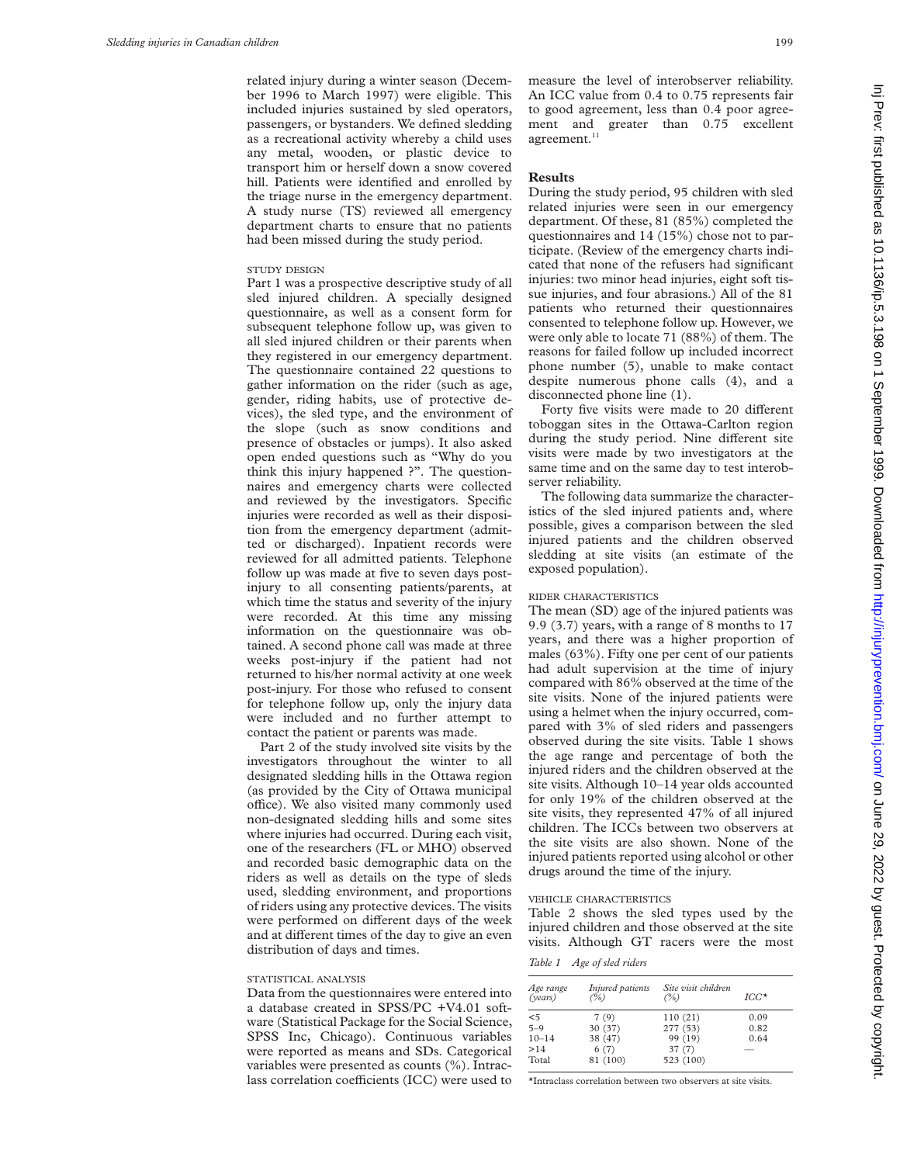related injury during a winter season (December 1996 to March 1997) were eligible. This included injuries sustained by sled operators, passengers, or bystanders. We defined sledding as a recreational activity whereby a child uses any metal, wooden, or plastic device to transport him or herself down a snow covered hill. Patients were identified and enrolled by the triage nurse in the emergency department. A study nurse (TS) reviewed all emergency department charts to ensure that no patients had been missed during the study period.

## STUDY DESIGN

Part 1 was a prospective descriptive study of all sled injured children. A specially designed questionnaire, as well as a consent form for subsequent telephone follow up, was given to all sled injured children or their parents when they registered in our emergency department. The questionnaire contained 22 questions to gather information on the rider (such as age, gender, riding habits, use of protective devices), the sled type, and the environment of the slope (such as snow conditions and presence of obstacles or jumps). It also asked open ended questions such as "Why do you think this injury happened ?". The questionnaires and emergency charts were collected and reviewed by the investigators. Specific injuries were recorded as well as their disposition from the emergency department (admitted or discharged). Inpatient records were reviewed for all admitted patients. Telephone follow up was made at five to seven days postinjury to all consenting patients/parents, at which time the status and severity of the injury were recorded. At this time any missing information on the questionnaire was obtained. A second phone call was made at three weeks post-injury if the patient had not returned to his/her normal activity at one week post-injury. For those who refused to consent for telephone follow up, only the injury data were included and no further attempt to contact the patient or parents was made.

Part 2 of the study involved site visits by the investigators throughout the winter to all designated sledding hills in the Ottawa region (as provided by the City of Ottawa municipal office). We also visited many commonly used non-designated sledding hills and some sites where injuries had occurred. During each visit, one of the researchers (FL or MHO) observed and recorded basic demographic data on the riders as well as details on the type of sleds used, sledding environment, and proportions of riders using any protective devices. The visits were performed on different days of the week and at different times of the day to give an even distribution of days and times.

## STATISTICAL ANALYSIS

Data from the questionnaires were entered into a database created in SPSS/PC +V4.01 software (Statistical Package for the Social Science, SPSS Inc, Chicago). Continuous variables were reported as means and SDs. Categorical variables were presented as counts (%). Intraclass correlation coefficients (ICC) were used to

measure the level of interobserver reliability. An ICC value from 0.4 to 0.75 represents fair to good agreement, less than 0.4 poor agreement and greater than 0.75 excellent  $\,$ agreement. $\,$ 

## **Results**

During the study period, 95 children with sled related injuries were seen in our emergency department. Of these, 81 (85%) completed the questionnaires and 14 (15%) chose not to participate. (Review of the emergency charts indicated that none of the refusers had significant injuries: two minor head injuries, eight soft tissue injuries, and four abrasions.) All of the 81 patients who returned their questionnaires consented to telephone follow up. However, we were only able to locate 71 (88%) of them. The reasons for failed follow up included incorrect phone number (5), unable to make contact despite numerous phone calls (4), and a disconnected phone line (1).

Forty five visits were made to 20 different toboggan sites in the Ottawa-Carlton region during the study period. Nine different site visits were made by two investigators at the same time and on the same day to test interobserver reliability.

The following data summarize the characteristics of the sled injured patients and, where possible, gives a comparison between the sled injured patients and the children observed sledding at site visits (an estimate of the exposed population).

## RIDER CHARACTERISTICS

The mean (SD) age of the injured patients was 9.9 (3.7) years, with a range of 8 months to 17 years, and there was a higher proportion of males (63%). Fifty one per cent of our patients had adult supervision at the time of injury compared with 86% observed at the time of the site visits. None of the injured patients were using a helmet when the injury occurred, compared with 3% of sled riders and passengers observed during the site visits. Table 1 shows the age range and percentage of both the injured riders and the children observed at the site visits. Although 10–14 year olds accounted for only 19% of the children observed at the site visits, they represented 47% of all injured children. The ICCs between two observers at the site visits are also shown. None of the injured patients reported using alcohol or other drugs around the time of the injury.

#### VEHICLE CHARACTERISTICS

Table 2 shows the sled types used by the injured children and those observed at the site visits. Although GT racers were the most

## *Table 1 Age of sled riders*

| Age range<br>(years) | Injured patients<br>$($ %) | Site visit children<br>(%) | $ICC*$ |
|----------------------|----------------------------|----------------------------|--------|
| $<$ 5                | 7(9)                       | 110(21)                    | 0.09   |
| $5 - 9$              | 30 (37)                    | 277 (53)                   | 0.82   |
| $10 - 14$            | 38 (47)                    | 99 (19)                    | 0.64   |
| >14                  | 6(7)                       | 37(7)                      |        |
| Total                | 81 (100)                   | 523 (100)                  |        |

\*Intraclass correlation between two observers at site visits.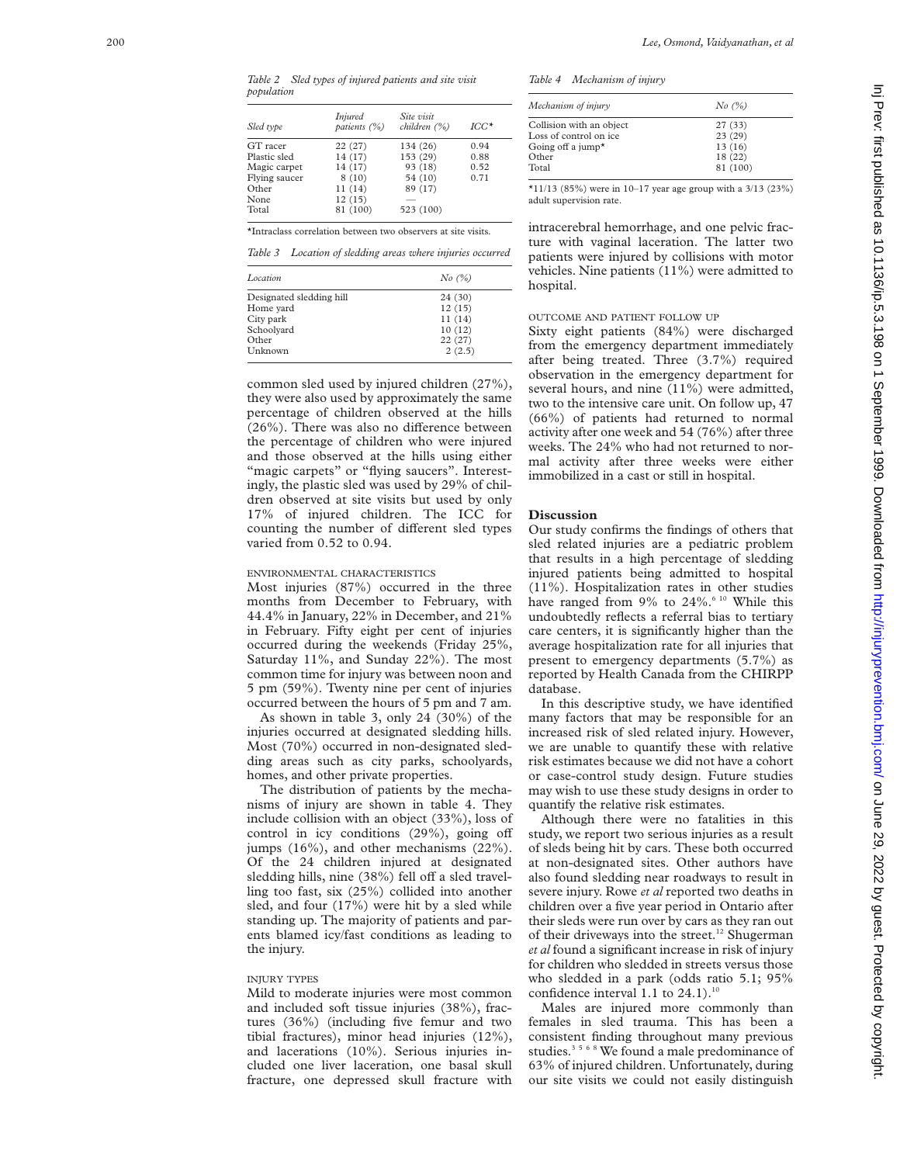*Table 2 Sled types of injured patients and site visit population*

| <i>Injured</i><br>patients (%) | Site visit<br>children (%) | $ICC^*$ |  |
|--------------------------------|----------------------------|---------|--|
| 22(27)                         | 134 (26)                   | 0.94    |  |
| 14 (17)                        | 153 (29)                   | 0.88    |  |
| 14 (17)                        | 93 (18)                    | 0.52    |  |
| 8(10)                          | 54 (10)                    | 0.71    |  |
| 11(14)                         | 89 (17)                    |         |  |
| 12(15)                         |                            |         |  |
| 81 (100)                       | 523 (100)                  |         |  |
|                                |                            |         |  |

\*Intraclass correlation between two observers at site visits.

*Table 3 Location of sledding areas where injuries occurred*

| Location                 | No (%)  |  |
|--------------------------|---------|--|
| Designated sledding hill | 24 (30) |  |
| Home yard                | 12(15)  |  |
| City park                | 11(14)  |  |
| Schoolyard               | 10(12)  |  |
| Other                    | 22(27)  |  |
| Unknown                  | 2(2.5)  |  |

common sled used by injured children (27%), they were also used by approximately the same percentage of children observed at the hills (26%). There was also no difference between the percentage of children who were injured and those observed at the hills using either "magic carpets" or "flying saucers". Interestingly, the plastic sled was used by 29% of children observed at site visits but used by only 17% of injured children. The ICC for counting the number of different sled types varied from 0.52 to 0.94.

#### ENVIRONMENTAL CHARACTERISTICS

Most injuries (87%) occurred in the three months from December to February, with 44.4% in January, 22% in December, and 21% in February. Fifty eight per cent of injuries occurred during the weekends (Friday 25%, Saturday 11%, and Sunday 22%). The most common time for injury was between noon and 5 pm (59%). Twenty nine per cent of injuries occurred between the hours of 5 pm and 7 am.

As shown in table 3, only 24 (30%) of the injuries occurred at designated sledding hills. Most (70%) occurred in non-designated sledding areas such as city parks, schoolyards, homes, and other private properties.

The distribution of patients by the mechanisms of injury are shown in table 4. They include collision with an object (33%), loss of control in icy conditions (29%), going off jumps (16%), and other mechanisms (22%). Of the 24 children injured at designated sledding hills, nine (38%) fell off a sled travelling too fast, six (25%) collided into another sled, and four (17%) were hit by a sled while standing up. The majority of patients and parents blamed icy/fast conditions as leading to the injury.

#### INJURY TYPES

Mild to moderate injuries were most common and included soft tissue injuries (38%), fractures (36%) (including five femur and two tibial fractures), minor head injuries (12%), and lacerations (10%). Serious injuries included one liver laceration, one basal skull fracture, one depressed skull fracture with *Table 4 Mechanism of injury*

| Mechanism of injury           | No (%)   |
|-------------------------------|----------|
| Collision with an object      | 27 (33)  |
| Loss of control on ice.       | 23(29)   |
| Going off a jump <sup>*</sup> | 13(16)   |
| Other                         | 18 (22)  |
| Total                         | 81 (100) |

\*11/13 (85%) were in 10–17 year age group with a 3/13 (23%) adult supervision rate.

intracerebral hemorrhage, and one pelvic fracture with vaginal laceration. The latter two patients were injured by collisions with motor vehicles. Nine patients (11%) were admitted to hospital.

## OUTCOME AND PATIENT FOLLOW UP

Sixty eight patients (84%) were discharged from the emergency department immediately after being treated. Three (3.7%) required observation in the emergency department for several hours, and nine (11%) were admitted, two to the intensive care unit. On follow up, 47 (66%) of patients had returned to normal activity after one week and 54 (76%) after three weeks. The 24% who had not returned to normal activity after three weeks were either immobilized in a cast or still in hospital.

#### **Discussion**

Our study confirms the findings of others that sled related injuries are a pediatric problem that results in a high percentage of sledding injured patients being admitted to hospital (11%). Hospitalization rates in other studies have ranged from  $9\%$  to  $24\%$ .<sup>6 10</sup> While this undoubtedly reflects a referral bias to tertiary care centers, it is significantly higher than the average hospitalization rate for all injuries that present to emergency departments (5.7%) as reported by Health Canada from the CHIRPP database.

In this descriptive study, we have identified many factors that may be responsible for an increased risk of sled related injury. However, we are unable to quantify these with relative risk estimates because we did not have a cohort or case-control study design. Future studies may wish to use these study designs in order to quantify the relative risk estimates.

Although there were no fatalities in this study, we report two serious injuries as a result of sleds being hit by cars. These both occurred at non-designated sites. Other authors have also found sledding near roadways to result in severe injury. Rowe *et al* reported two deaths in children over a five year period in Ontario after their sleds were run over by cars as they ran out of their driveways into the street.<sup>12</sup> Shugerman *et al* found a significant increase in risk of injury for children who sledded in streets versus those who sledded in a park (odds ratio 5.1; 95% confidence interval 1.1 to  $24.1$ ).<sup>10</sup>

Males are injured more commonly than females in sled trauma. This has been a consistent finding throughout many previous studies.<sup>3568</sup> We found a male predominance of 63% of injured children. Unfortunately, during our site visits we could not easily distinguish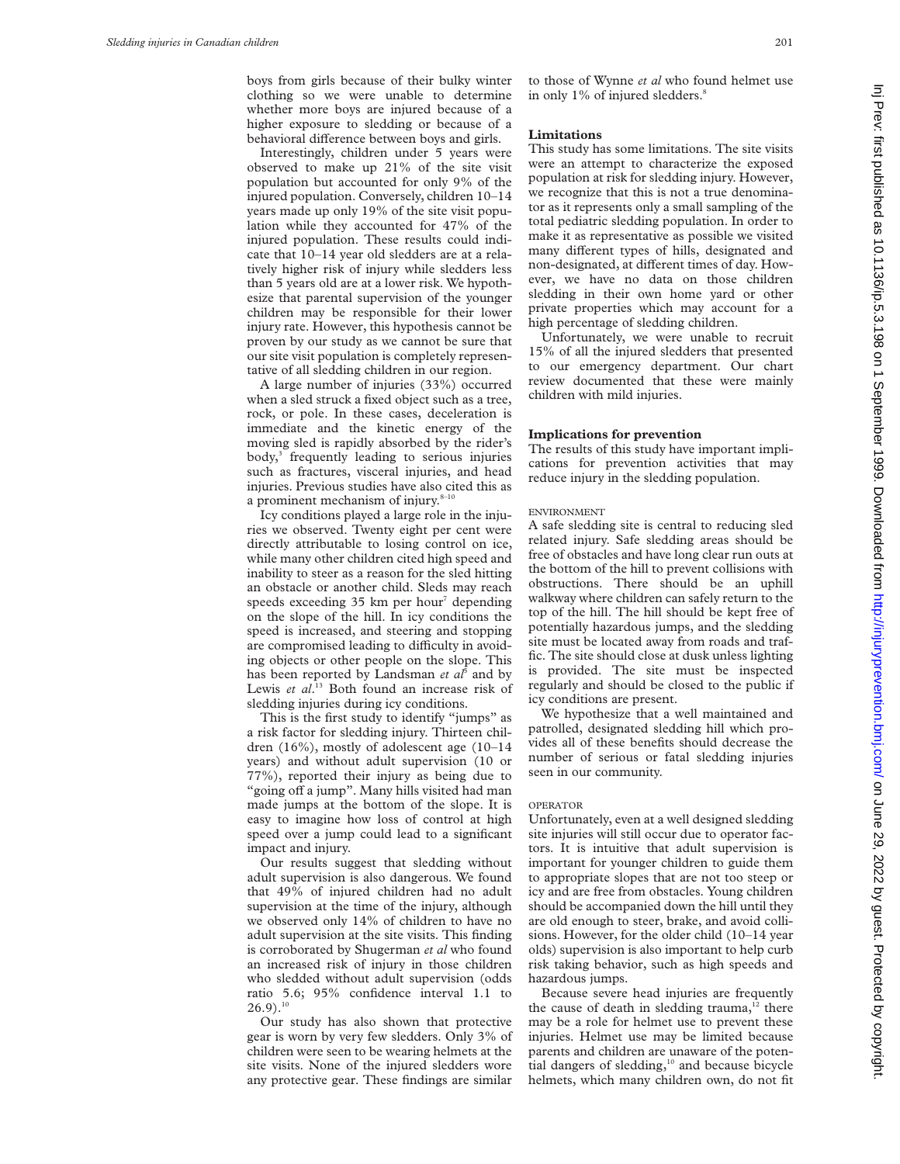boys from girls because of their bulky winter clothing so we were unable to determine whether more boys are injured because of a higher exposure to sledding or because of a behavioral difference between boys and girls.

Interestingly, children under 5 years were observed to make up 21% of the site visit population but accounted for only 9% of the injured population. Conversely, children 10–14 years made up only 19% of the site visit population while they accounted for 47% of the injured population. These results could indicate that 10–14 year old sledders are at a relatively higher risk of injury while sledders less than 5 years old are at a lower risk. We hypothesize that parental supervision of the younger children may be responsible for their lower injury rate. However, this hypothesis cannot be proven by our study as we cannot be sure that our site visit population is completely representative of all sledding children in our region.

A large number of injuries (33%) occurred when a sled struck a fixed object such as a tree, rock, or pole. In these cases, deceleration is immediate and the kinetic energy of the moving sled is rapidly absorbed by the rider's body,<sup>3</sup> frequently leading to serious injuries such as fractures, visceral injuries, and head injuries. Previous studies have also cited this as a prominent mechanism of injury. $8-10$ 

Icy conditions played a large role in the injuries we observed. Twenty eight per cent were directly attributable to losing control on ice, while many other children cited high speed and inability to steer as a reason for the sled hitting an obstacle or another child. Sleds may reach speeds exceeding  $35 \text{ km}$  per hour<sup>7</sup> depending on the slope of the hill. In icy conditions the speed is increased, and steering and stopping are compromised leading to difficulty in avoiding objects or other people on the slope. This has been reported by Landsman *et al*<sup>5</sup> and by Lewis et al.<sup>13</sup> Both found an increase risk of sledding injuries during icy conditions.

This is the first study to identify "jumps" as a risk factor for sledding injury. Thirteen children (16%), mostly of adolescent age (10–14 years) and without adult supervision (10 or 77%), reported their injury as being due to "going off a jump". Many hills visited had man made jumps at the bottom of the slope. It is easy to imagine how loss of control at high speed over a jump could lead to a significant impact and injury.

Our results suggest that sledding without adult supervision is also dangerous. We found that 49% of injured children had no adult supervision at the time of the injury, although we observed only 14% of children to have no adult supervision at the site visits. This finding is corroborated by Shugerman *et al* who found an increased risk of injury in those children who sledded without adult supervision (odds ratio 5.6; 95% confidence interval 1.1 to  $26.9$ ).<sup>10</sup>

Our study has also shown that protective gear is worn by very few sledders. Only 3% of children were seen to be wearing helmets at the site visits. None of the injured sledders wore any protective gear. These findings are similar

to those of Wynne *et al* who found helmet use in only 1% of injured sledders.<sup>8</sup>

## **Limitations**

This study has some limitations. The site visits were an attempt to characterize the exposed population at risk for sledding injury. However, we recognize that this is not a true denominator as it represents only a small sampling of the total pediatric sledding population. In order to make it as representative as possible we visited many different types of hills, designated and non-designated, at different times of day. However, we have no data on those children sledding in their own home yard or other private properties which may account for a high percentage of sledding children.

Unfortunately, we were unable to recruit 15% of all the injured sledders that presented to our emergency department. Our chart review documented that these were mainly children with mild injuries.

# **Implications for prevention**

The results of this study have important implications for prevention activities that may reduce injury in the sledding population.

# ENVIRONMENT

A safe sledding site is central to reducing sled related injury. Safe sledding areas should be free of obstacles and have long clear run outs at the bottom of the hill to prevent collisions with obstructions. There should be an uphill walkway where children can safely return to the top of the hill. The hill should be kept free of potentially hazardous jumps, and the sledding site must be located away from roads and traffic. The site should close at dusk unless lighting is provided. The site must be inspected regularly and should be closed to the public if icy conditions are present.

We hypothesize that a well maintained and patrolled, designated sledding hill which provides all of these benefits should decrease the number of serious or fatal sledding injuries seen in our community.

## OPERATOR

Unfortunately, even at a well designed sledding site injuries will still occur due to operator factors. It is intuitive that adult supervision is important for younger children to guide them to appropriate slopes that are not too steep or icy and are free from obstacles. Young children should be accompanied down the hill until they are old enough to steer, brake, and avoid collisions. However, for the older child (10–14 year olds) supervision is also important to help curb risk taking behavior, such as high speeds and hazardous jumps.

Because severe head injuries are frequently the cause of death in sledding trauma, $12$  there may be a role for helmet use to prevent these injuries. Helmet use may be limited because parents and children are unaware of the potential dangers of sledding, $10$  and because bicycle helmets, which many children own, do not fit